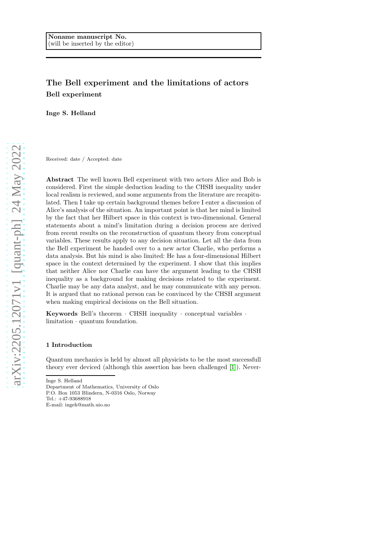# The Bell experiment and the limitations of actors Bell experiment

Inge S. Helland

Received: date / Accepted: date

Abstract The well known Bell experiment with two actors Alice and Bob is considered. First the simple deduction leading to the CHSH inequality under local realism is reviewed, and some arguments from the literature are recapitulated. Then I take up certain background themes before I enter a discussion of Alice's analysis of the situation. An important point is that her mind is limited by the fact that her Hilbert space in this context is two-dimensional. General statements about a mind's limitation during a decision process are derived from recent results on the reconstruction of quantum theory from conceptual variables. These results apply to any decision situation. Let all the data from the Bell experiment be handed over to a new actor Charlie, who performs a data analysis. But his mind is also limited: He has a four-dimensional Hilbert space in the context determined by the experiment. I show that this implies that neither Alice nor Charlie can have the argument leading to the CHSH inequality as a background for making decisions related to the experiment. Charlie may be any data analyst, and he may communicate with any person. It is argued that no rational person can be convinced by the CHSH argument when making empirical decisions on the Bell situation.

Keywords Bell's theorem · CHSH inequality · conceptual variables · limitation · quantum foundation.

#### 1 Introduction

Quantum mechanics is held by almost all physicists to be the most successfull theory ever deviced (although this assertion has been challenged [\[1\]](#page-16-0)). Never-

Inge S. Helland Department of Mathematics, University of Oslo P.O. Box 1053 Blindern, N-0316 Oslo, Norway Tel.: +47-93688918 E-mail: ingeh@math.uio.no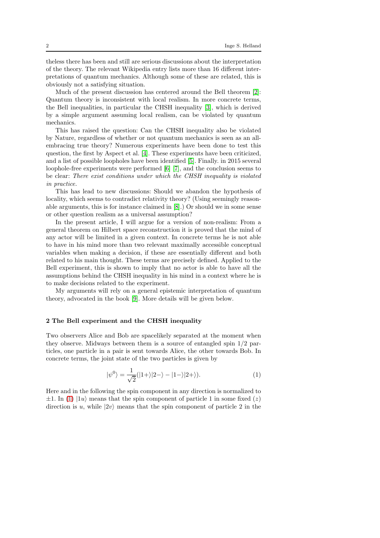theless there has been and still are serious discussions about the interpretation of the theory. The relevant Wikipedia entry lists more than 16 different interpretations of quantum mechanics. Although some of these are related, this is obviously not a satisfying situation.

Much of the present discussion has centered around the Bell theorem [\[2\]](#page-16-1): Quantum theory is inconsistent with local realism. In more concrete terms, the Bell inequalities, in particular the CHSH inequality [\[3\]](#page-16-2), which is derived by a simple argument assuming local realism, can be violated by quantum mechanics.

This has raised the question: Can the CHSH inequality also be violated by Nature, regardless of whether or not quantum mechanics is seen as an allembracing true theory? Numerous experiments have been done to test this question, the first by Aspect et al. [\[4\]](#page-16-3). These experiments have been criticized, and a list of possible loopholes have been identified [\[5\]](#page-17-0). Finally. in 2015 several loophole-free experiments were performed [\[6\]](#page-17-1) [\[7\]](#page-17-2), and the conclusion seems to be clear: There exist conditions under which the CHSH inequality is violated in practice.

This has lead to new discussions: Should we abandon the hypothesis of locality, which seems to contradict relativity theory? (Using seemingly reasonable arguments, this is for instance claimed in [\[8\]](#page-17-3).) Or should we in some sense or other question realism as a universal assumption?

In the present article, I will argue for a version of non-realism: From a general theorem on Hilbert space reconstruction it is proved that the mind of any actor will be limited in a given context. In concrete terms he is not able to have in his mind more than two relevant maximally accessible conceptual variables when making a decision, if these are essentially different and both related to his main thought. These terms are precisely defined. Applied to the Bell experiment, this is shown to imply that no actor is able to have all the assumptions behind the CHSH inequality in his mind in a context where he is to make decisions related to the experiment.

My arguments will rely on a general epistemic interpretation of quantum theory, advocated in the book [\[9\]](#page-17-4). More details will be given below.

## 2 The Bell experiment and the CHSH inequality

Two observers Alice and Bob are spacelikely separated at the moment when they observe. Midways between them is a source of entangled spin 1/2 particles, one particle in a pair is sent towards Alice, the other towards Bob. In concrete terms, the joint state of the two particles is given by

<span id="page-1-0"></span>
$$
|\psi^0\rangle = \frac{1}{\sqrt{2}}(|1+\rangle|2-\rangle - |1-\rangle|2+\rangle). \tag{1}
$$

Here and in the following the spin component in any direction is normalized to  $\pm 1$ . In [\(1\)](#page-1-0)  $|1u\rangle$  means that the spin component of particle 1 in some fixed (z) direction is u, while  $|2v\rangle$  means that the spin component of particle 2 in the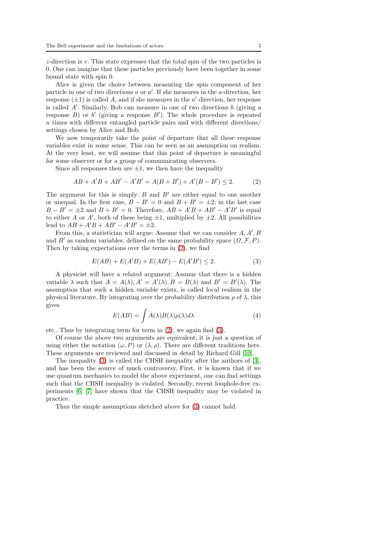z-direction is v. This state expresses that the total spin of the two particles is 0. One can imagine that these particles previously have been together in some bound state with spin 0.

Alice is given the choice between measuring the spin component of her particle in one of two directions  $a$  or  $a'$ . If she measures in the *a*-direction, her response  $(\pm 1)$  is called A, and if she measures in the  $a'$  direction, her response is called  $A'$ . Similarly, Bob can measure in one of two directions  $b$  (giving a response  $B$ ) or  $b'$  (giving a response  $B'$ ). The whole procedure is repeated n times with different entangled particle pairs and with different directions/ settings chosen by Alice and Bob.

We now temporarily take the point of departure that all these response variables exist in some sense. This can be seen as an assumption on realism. At the very least, we will assume that this point of departure is meaningful for some observer or for a group of communicating observers.

Since all responses then are  $\pm 1$ , we then have the inequality

<span id="page-2-0"></span>
$$
AB + A'B + AB' - A'B' = A(B + B') + A'(B - B') \le 2.
$$
 (2)

The argument for this is simply:  $B$  and  $B'$  are either equal to one another or unequal. In the first case,  $B - B' = 0$  and  $B + B' = \pm 2$ ; in the last case  $B - B' = \pm 2$  and  $B + B' = 0$ . Therefore,  $AB + A'B + AB' - A'B'$  is equal to either A or A', both of these being  $\pm 1$ , multiplied by  $\pm 2$ . All possibilities lead to  $AB + A'B + AB' - A'B' = \pm 2$ .

From this, a statistician will argue: Assume that we can consider  $A, A', B$ and B' as random variables, defined on the same probability space  $(\Omega, \mathcal{F}, P)$ . Then by taking expectations over the terms in [\(2\)](#page-2-0), we find

<span id="page-2-1"></span>
$$
E(AB) + E(A'B) + E(AB') - E(A'B') \le 2.
$$
 (3)

A physicist will have a related argument: Assume that there is a hidden variable  $\lambda$  such that  $A = A(\lambda), A' = A'(\lambda), B = B(\lambda)$  and  $B' = B'(\lambda)$ . The assumption that such a hidden variable exists, is called local realism in the physical literature. By integrating over the probability distribution  $\rho$  of  $\lambda$ , this gives

<span id="page-2-2"></span>
$$
E(AB) = \int A(\lambda)B(\lambda)\rho(\lambda)d\lambda
$$
 (4)

etc.. Thus by integrating term for term in [\(2\)](#page-2-0), we again find [\(3\)](#page-2-1).

Of course the above two arguments are equivalent; it is just a question of using either the notation  $(\omega, P)$  or  $(\lambda, \rho)$ . There are different traditions here. These arguments are reviewed and discussed in detail by Richard Gill [\[10\]](#page-17-5).

The inequality [\(3\)](#page-2-1) is called the CHSH inequality after the authors of [\[3\]](#page-16-2), and has been the source of much controversy. First, it is known that if we use quantum mechanics to model the above experiment, one can find settings such that the CHSH inequality is violated. Secondly, recent loophole-free experiments [\[6\]](#page-17-1) [\[7\]](#page-17-2) have shown that the CHSH inequality may be violated in practice.

Thus the simple assumptions sketched above for [\(3\)](#page-2-1) cannot hold.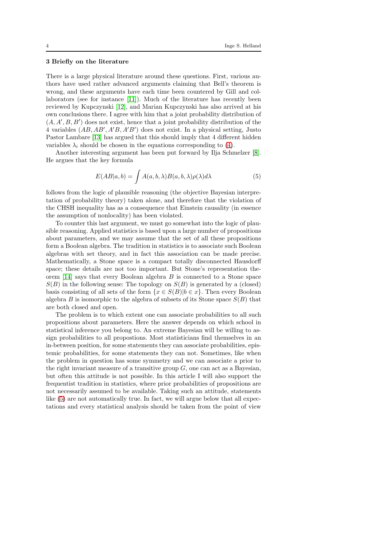## 3 Briefly on the literature

There is a large physical literature around these questions. First, various authors have used rather advanced arguments claiming that Bell's theorem is wrong, and these arguments have each time been countered by Gill and collaborators (see for instance [\[11\]](#page-17-6)). Much of the literature has recently been reviewed by Kupczynski [\[12\]](#page-17-7), and Marian Kupczynski has also arrived at his own conclusions there. I agree with him that a joint probability distribution of  $(A, A', B, B')$  does not exist, hence that a joint probability distribution of the 4 variables  $(AB, AB', A'B, A'B')$  does not exist. In a physical setting, Justo Pastor Lambare [\[13\]](#page-17-8) has argued that this should imply that 4 different hidden variables  $\lambda_i$  should be chosen in the equations corresponding to [\(4\)](#page-2-2).

Another interesting argument has been put forward by Ilja Schmelzer [\[8\]](#page-17-3). He argues that the key formula

<span id="page-3-0"></span>
$$
E(AB|a,b) = \int A(a,b,\lambda)B(a,b,\lambda)\rho(\lambda)d\lambda
$$
 (5)

follows from the logic of plausible reasoning (the objective Bayesian interpretation of probability theory) taken alone, and therefore that the violation of the CHSH inequality has as a consequence that Einstein causality (in essence the assumption of nonlocality) has been violated.

To counter this last argument, we must go somewhat into the logic of plausible reasoning. Applied statistics is based upon a large number of propositions about parameters, and we may assume that the set of all these propositions form a Boolean algebra. The tradition in statistics is to associate such Boolean algebras with set theory, and in fact this association can be made precise. Mathematically, a Stone space is a compact totally disconnected Hausdorff space; these details are not too important. But Stone's representation theorem [\[14\]](#page-17-9) says that every Boolean algebra B is connected to a Stone space  $S(B)$  in the following sense: The topology on  $S(B)$  is generated by a (closed) basis consisting of all sets of the form  $\{x \in S(B)|b \in x\}$ . Then every Boolean algebra B is isomorphic to the algebra of subsets of its Stone space  $S(B)$  that are both closed and open.

The problem is to which extent one can associate probabilities to all such propositions about parameters. Here the answer depends on which school in statistical inference you belong to. An extreme Bayesian will be willing to assign probabilities to all propostions. Most statisticians find themselves in an in-between position, for some statements they can associate probabilities, epistemic probabilities, for some statements they can not. Sometimes, like when the problem in question has some symmetry and we can associate a prior to the right invariant measure of a transitive group  $G$ , one can act as a Bayesian, but often this attitude is not possible. In this article I will also support the frequentist tradition in statistics, where prior probabilities of propositions are not necessarily assumed to be available. Taking such an attitude, statements like  $(5)$  are not automatically true. In fact, we will argue below that all expectations and every statistical analysis should be taken from the point of view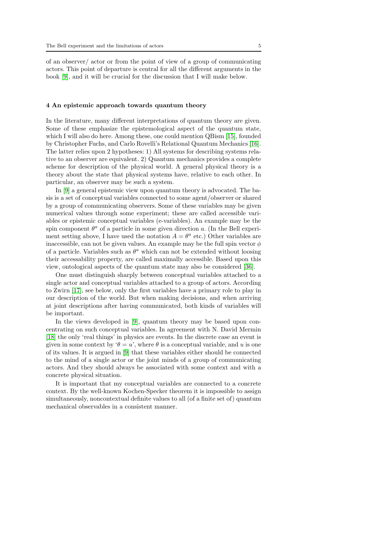of an observer/ actor or from the point of view of a group of communicating actors. This point of departure is central for all the different arguments in the book [\[9\]](#page-17-4), and it will be crucial for the discussion that I will make below.

#### 4 An epistemic approach towards quantum theory

In the literature, many different interpretations of quantum theory are given. Some of these emphasize the epistemological aspect of the quantum state, which I will also do here. Among these, one could mention QBism [\[15\]](#page-17-10), founded by Christopher Fuchs, and Carlo Rovelli's Relational Quantum Mechanics [\[16\]](#page-17-11). The latter relies upon 2 hypotheses: 1) All systems for describing systems relative to an observer are equivalent. 2) Quantum mechanics provides a complete scheme for description of the physical world. A general physical theory is a theory about the state that physical systems have, relative to each other. In particular, an observer may be such a system.

In [\[9\]](#page-17-4) a general epistemic view upon quantum theory is advocated. The basis is a set of conceptual variables connected to some agent/observer or shared by a group of communicating observers. Some of these variables may be given numerical values through some experiment; these are called accessible variables or epistemic conceptual variables (e-variables). An example may be the spin component  $\theta^a$  of a particle in some given direction a. (In the Bell experiment setting above, I have used the notation  $A = \theta^a$  etc.) Other variables are inaccessible, can not be given values. An example may be the full spin vector  $\phi$ of a particle. Variables such as  $\theta^a$  which can not be extended without loosing their accessability property, are called maximally accessible. Based upon this view, ontological aspects of the quantum state may also be considered [\[36\]](#page-18-0).

One must distinguish sharply between conceptual variables attached to a single actor and conceptual variables attached to a group of actors. According to Zwirn [\[17\]](#page-17-12), see below, only the first variables have a primary role to play in our description of the world. But when making decisions, and when arriving at joint descriptions after having communicated, both kinds of variables will be important.

In the views developed in [\[9\]](#page-17-4), quantum theory may be based upon concentrating on such conceptual variables. In agreement with N. David Mermin [\[18\]](#page-17-13) the only 'real things' in physics are events. In the discrete case an event is given in some context by ' $\theta = u$ ', where  $\theta$  is a conceptual variable, and u is one of its values. It is argued in [\[9\]](#page-17-4) that these variables either should be connected to the mind of a single actor or the joint minds of a group of communicating actors. And they should always be associated with some context and with a concrete physical situation.

It is important that my conceptual variables are connected to a concrete context. By the well-known Kochen-Specker theorem it is impossible to assign simultaneously, noncontextual definite values to all (of a finite set of) quantum mechanical observables in a consistent manner.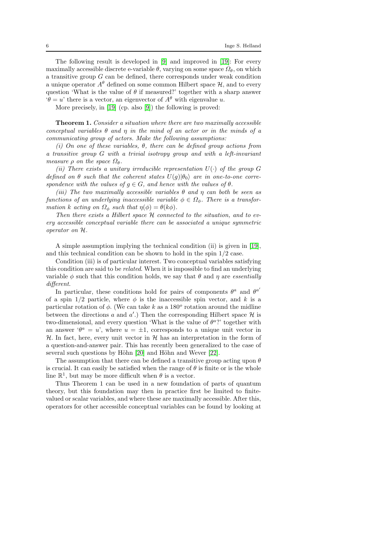The following result is developed in [\[9\]](#page-17-4) and improved in [\[19\]](#page-17-14): For every maximally accessible discrete e-variable  $\theta$ , varying on some space  $\Omega_{\theta}$ , on which a transitive group G can be defined, there corresponds under weak condition a unique operator  $A^{\theta}$  defined on some common Hilbert space  $\mathcal{H}$ , and to every question 'What is the value of  $\theta$  if measured?' together with a sharp answer  $\theta = u'$  there is a vector, an eigenvector of  $A^{\theta}$  with eigenvalue u.

More precisely, in [\[19\]](#page-17-14) (cp. also [\[9\]](#page-17-4)) the following is proved:

Theorem 1. Consider a situation where there are two maximally accessible conceptual variables  $\theta$  and  $\eta$  in the mind of an actor or in the minds of a communicating group of actors. Make the following assumptions:

(i) On one of these variables,  $\theta$ , there can be defined group actions from a transitive group G with a trivial isotropy group and with a left-invariant measure  $\rho$  on the space  $\Omega_{\theta}$ .

(ii) There exists a unitary irreducible representation  $U(\cdot)$  of the group G defined on  $\theta$  such that the coherent states  $U(g)|\theta_0\rangle$  are in one-to-one correspondence with the values of  $g \in G$ , and hence with the values of  $\theta$ .

(iii) The two maximally accessible variables  $\theta$  and  $\eta$  can both be seen as functions of an underlying inaccessible variable  $\phi \in \Omega_{\phi}$ . There is a transformation k acting on  $\Omega_{\phi}$  such that  $\eta(\phi) = \theta(k\phi)$ .

Then there exists a Hilbert space  $H$  connected to the situation, and to every accessible conceptual variable there can be associated a unique symmetric operator on H.

A simple assumption implying the technical condition (ii) is given in [\[19\]](#page-17-14), and this technical condition can be shown to hold in the spin 1/2 case.

Condition (iii) is of particular interest. Two conceptual variables satisfying this condition are said to be related. When it is impossible to find an underlying variable  $\phi$  such that this condition holds, we say that  $\theta$  and  $\eta$  are *essentially* different.

In particular, these conditions hold for pairs of components  $\theta^a$  and  $\theta^{a'}$ of a spin  $1/2$  particle, where  $\phi$  is the inaccessible spin vector, and k is a particular rotation of  $\phi$ . (We can take k as a 180<sup>o</sup> rotation around the midline between the directions  $a$  and  $a'$ .) Then the corresponding Hilbert space  $\mathcal{H}$  is two-dimensional, and every question 'What is the value of  $\theta^a$ ?' together with an answer  $\theta^a = u$ , where  $u = \pm 1$ , corresponds to a unique unit vector in  $H$ . In fact, here, every unit vector in  $H$  has an interpretation in the form of a question-and-answer pair. This has recently been generalized to the case of several such questions by Höhn  $[20]$  and Höhn and Wever  $[22]$ .

The assumption that there can be defined a transitive group acting upon  $\theta$ is crucial. It can easily be satisfied when the range of  $\theta$  is finite or is the whole line  $\mathbb{R}^1$ , but may be more difficult when  $\theta$  is a vector.

Thus Theorem 1 can be used in a new foundation of parts of quantum theory, but this foundation may then in practice first be limited to finitevalued or scalar variables, and where these are maximally accessible. After this, operators for other accessible conceptual variables can be found by looking at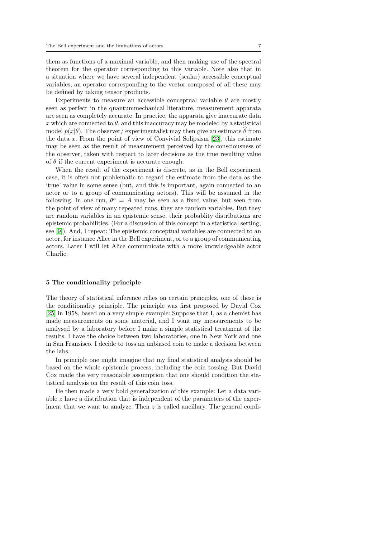them as functions of a maximal variable, and then making use of the spectral theorem for the operator corresponding to this variable. Note also that in a situation where we have several independent (scalar) accessible conceptual variables, an operator corresponding to the vector composed of all these may be defined by taking tensor products.

Experiments to measure an accessible conceptual variable  $\theta$  are mostly seen as perfect in the quantummechanical literature, measurement apparata are seen as completely accurate. In practice, the apparata give inaccurate data x which are connected to  $\theta$ , and this inaccuracy may be modeled by a statistical model  $p(x|\theta)$ . The observer/ experimentalist may then give an estimate  $\theta$  from the data  $x$ . From the point of view of Convivial Solipsism [\[23\]](#page-17-17), this estimate may be seen as the result of measurement perceived by the consciousness of the observer, taken with respect to later decisions as the true resulting value of  $\theta$  if the current experiment is accurate enough.

When the result of the experiment is discrete, as in the Bell experiment case, it is often not problematic to regard the estimate from the data as the 'true' value in some sense (but, and this is important, again connected to an actor or to a group of communicating actors). This will be assumed in the following. In one run,  $\theta^a = A$  may be seen as a fixed value, but seen from the point of view of many repeated runs, they are random variables. But they are random variables in an epistemic sense, their probablity distributions are epistemic probabilities. (For a discussion of this concept in a statistical setting, see [\[9\]](#page-17-4)). And, I repeat: The epistemic conceptual variables are connected to an actor, for instance Alice in the Bell experiment, or to a group of communicating actors. Later I will let Alice communicate with a more knowledgeable actor Charlie.

#### 5 The conditionality principle

The theory of statistical inference relies on certain principles, one of these is the conditionality principle. The principle was first proposed by David Cox [\[25\]](#page-17-18) in 1958, based on a very simple example: Suppose that I, as a chemist has made measurements on some material, and I want my measurements to be analysed by a laboratory before I make a simple statistical treatment of the results. I have the choice between two laboratories, one in New York and one in San Fransisco. I decide to toss an unbiased coin to make a decision between the labs.

In principle one might imagine that my final statistical analysis should be based on the whole epistemic process, including the coin tossing. But David Cox made the very reasonable assumption that one should condition the statistical analysis on the result of this coin toss.

He then made a very bold generalization of this example: Let a data variable z have a distribution that is independent of the parameters of the experiment that we want to analyze. Then  $z$  is called ancillary. The general condi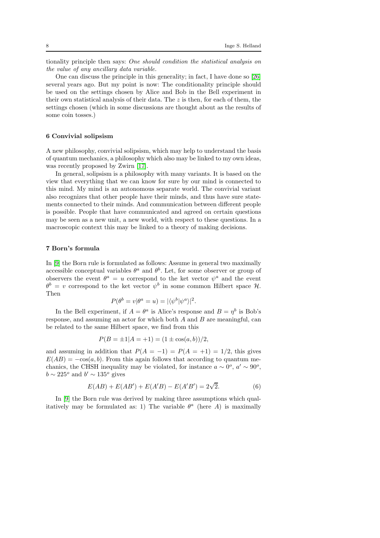tionality principle then says: One should condition the statistical analysis on the value of any ancillary data variable.

One can discuss the principle in this generality; in fact, I have done so [\[26\]](#page-17-19) several years ago. But my point is now: The conditionality principle should be used on the settings chosen by Alice and Bob in the Bell experiment in their own statistical analysis of their data. The  $z$  is then, for each of them, the settings chosen (which in some discussions are thought about as the results of some coin tosses.)

## 6 Convivial solipsism

A new philosophy, convivial solipsism, which may help to understand the basis of quantum mechanics, a philosophy which also may be linked to my own ideas, was recently proposed by Zwirn [\[17\]](#page-17-12).

In general, solipsism is a philosophy with many variants. It is based on the view that everything that we can know for sure by our mind is connected to this mind. My mind is an autonomous separate world. The convivial variant also recognizes that other people have their minds, and thus have sure statements connected to their minds. And communication between different people is possible. People that have communicated and agreed on certain questions may be seen as a new unit, a new world, with respect to these questions. In a macroscopic context this may be linked to a theory of making decisions.

## 7 Born's formula

In [\[9\]](#page-17-4) the Born rule is formulated as follows: Assume in general two maximally accessible conceptual variables  $\theta^a$  and  $\theta^b$ . Let, for some observer or group of observers the event  $\theta^a = u$  correspond to the ket vector  $\psi^a$  and the event  $\theta^b = v$  correspond to the ket vector  $\psi^b$  in some common Hilbert space  $\mathcal{H}$ . Then

$$
P(\theta^b = v | \theta^a = u) = |\langle \psi^b | \psi^a \rangle|^2.
$$

In the Bell experiment, if  $A = \theta^a$  is Alice's response and  $B = \eta^b$  is Bob's response, and assuming an actor for which both  $A$  and  $B$  are meaningful, can be related to the same Hilbert space, we find from this

$$
P(B = \pm 1 | A = +1) = (1 \pm \cos(a, b))/2,
$$

and assuming in addition that  $P(A = -1) = P(A = +1) = 1/2$ , this gives  $E(AB) = -\cos(a, b)$ . From this again follows that according to quantum mechanics, the CHSH inequality may be violated, for instance  $a \sim 0^{\circ}$ ,  $a' \sim 90^{\circ}$ ,  $b \sim 225^o$  and  $b' \sim 135^o$  gives

<span id="page-7-0"></span>
$$
E(AB) + E(AB') + E(A'B) - E(A'B') = 2\sqrt{2}.
$$
 (6)

In [\[9\]](#page-17-4) the Born rule was derived by making three assumptions which qualitatively may be formulated as: 1) The variable  $\theta^a$  (here A) is maximally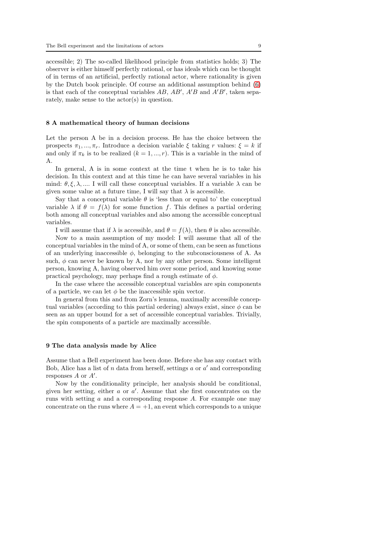accessible; 2) The so-called likelihood principle from statistics holds; 3) The observer is either himself perfectly rational, or has ideals which can be thought of in terms of an artificial, perfectly rational actor, where rationality is given by the Dutch book principle. Of course an additional assumption behind [\(6\)](#page-7-0) is that each of the conceptual variables  $AB$ ,  $AB'$ ,  $A'B$  and  $A'B'$ , taken separately, make sense to the actor(s) in question.

#### 8 A mathematical theory of human decisions

Let the person A be in a decision process. He has the choice between the prospects  $\pi_1, ..., \pi_r$ . Introduce a decision variable  $\xi$  taking r values:  $\xi = k$  if and only if  $\pi_k$  is to be realized  $(k = 1, ..., r)$ . This is a variable in the mind of A.

In general, A is in some context at the time t when he is to take his decision. In this context and at this time he can have several variables in his mind:  $\theta, \xi, \lambda, \dots$  I will call these conceptual variables. If a variable  $\lambda$  can be given some value at a future time, I will say that  $\lambda$  is accessible.

Say that a conceptual variable  $\theta$  is 'less than or equal to' the conceptual variable  $\lambda$  if  $\theta = f(\lambda)$  for some function f. This defines a partial ordering both among all conceptual variables and also among the accessible conceptual variables.

I will assume that if  $\lambda$  is accessible, and  $\theta = f(\lambda)$ , then  $\theta$  is also accessible.

Now to a main assumption of my model: I will assume that all of the conceptual variables in the mind of A, or some of them, can be seen as functions of an underlying inaccessible  $\phi$ , belonging to the subconsciousness of A. As such,  $\phi$  can never be known by A, nor by any other person. Some intelligent person, knowing A, having observed him over some period, and knowing some practical psychology, may perhaps find a rough estimate of  $\phi$ .

In the case where the accessible conceptual variables are spin components of a particle, we can let  $\phi$  be the inaccessible spin vector.

In general from this and from Zorn's lemma, maximally accessible conceptual variables (according to this partial ordering) always exist, since  $\phi$  can be seen as an upper bound for a set of accessible conceptual variables. Trivially, the spin components of a particle are maximally accessible.

#### 9 The data analysis made by Alice

Assume that a Bell experiment has been done. Before she has any contact with Bob, Alice has a list of  $n$  data from herself, settings  $a$  or  $a'$  and corresponding responses  $A$  or  $A'$ .

Now by the conditionality principle, her analysis should be conditional, given her setting, either  $a$  or  $a'$ . Assume that she first concentrates on the runs with setting  $a$  and a corresponding response  $A$ . For example one may concentrate on the runs where  $A = +1$ , an event which corresponds to a unique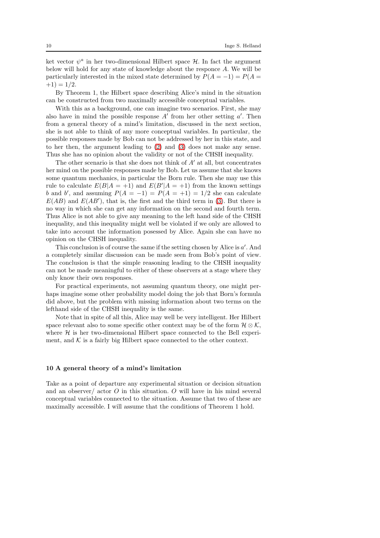ket vector  $\psi^a$  in her two-dimensional Hilbert space  $\mathcal{H}$ . In fact the argument below will hold for any state of knowledge about the responce A. We will be particularly interested in the mixed state determined by  $P(A = -1) = P(A =$  $+1) = 1/2.$ 

By Theorem 1, the Hilbert space describing Alice's mind in the situation can be constructed from two maximally accessible conceptual variables.

With this as a background, one can imagine two scenarios. First, she may also have in mind the possible response  $A'$  from her other setting  $a'$ . Then from a general theory of a mind's limitation, discussed in the next section, she is not able to think of any more conceptual variables. In particular, the possible responses made by Bob can not be addressed by her in this state, and to her then, the argument leading to [\(2\)](#page-2-0) and [\(3\)](#page-2-1) does not make any sense. Thus she has no opinion about the validity or not of the CHSH inequality.

The other scenario is that she does not think of  $A'$  at all, but concentrates her mind on the possible responses made by Bob. Let us assume that she knows some quantum mechanics, in particular the Born rule. Then she may use this rule to calculate  $E(B|A = +1)$  and  $E(B'|A = +1)$  from the known settings b and b', and assuming  $P(A = -1) = P(A = +1) = 1/2$  she can calculate  $E(AB)$  and  $E(AB')$ , that is, the first and the third term in [\(3\)](#page-2-1). But there is no way in which she can get any information on the second and fourth term. Thus Alice is not able to give any meaning to the left hand side of the CHSH inequality, and this inequality might well be violated if we only are allowed to take into account the information posessed by Alice. Again she can have no opinion on the CHSH inequality.

This conclusion is of course the same if the setting chosen by Alice is  $a'$ . And a completely similar discussion can be made seen from Bob's point of view. The conclusion is that the simple reasoning leading to the CHSH inequality can not be made meaningful to either of these observers at a stage where they only know their own responses.

For practical experiments, not assuming quantum theory, one might perhaps imagine some other probability model doing the job that Born's formula did above, but the problem with missing information about two terms on the lefthand side of the CHSH inequality is the same.

Note that in spite of all this, Alice may well be very intelligent. Her Hilbert space relevant also to some specific other context may be of the form  $\mathcal{H} \otimes \mathcal{K}$ , where  $H$  is her two-dimensional Hilbert space connected to the Bell experiment, and  $K$  is a fairly big Hilbert space connected to the other context.

## 10 A general theory of a mind's limitation

Take as a point of departure any experimental situation or decision situation and an observer/ actor O in this situation. O will have in his mind several conceptual variables connected to the situation. Assume that two of these are maximally accessible. I will assume that the conditions of Theorem 1 hold.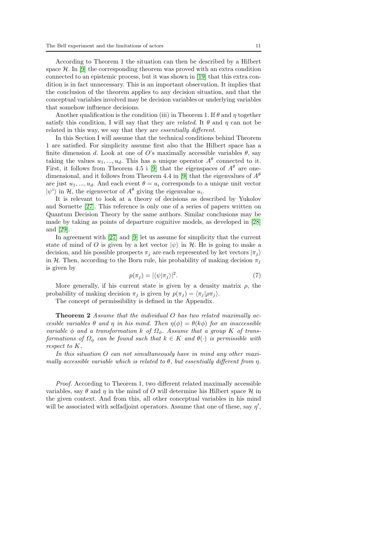According to Theorem 1 the situation can then be described by a Hilbert space  $\mathcal{H}$ . In  $[9]$  the corresponding theorem was proved with an extra condition connected to an epistemic process, but it was shown in [\[19\]](#page-17-14) that this extra condition is in fact unnecessary. This is an important observation. It implies that the conclusion of the theorem applies to any decision situation, and that the conceptual variables involved may be decision variables or underlying variables that somehow influence decisions.

Another qualification is the condition (iii) in Theorem 1. If  $\theta$  and  $\eta$  together satisfy this condition, I will say that they are *related*. It  $\theta$  and  $\eta$  can not be related in this way, we say that they are *essentially different*.

In this Section I will assume that the technical conditions behind Theorem 1 are satisfied. For simplicity assume first also that the Hilbert space has a finite dimension d. Look at one of O's maximally accessible variables  $\theta$ , say taking the values  $u_1, ..., u_d$ . This has a unique operator  $A^{\theta}$  connected to it. First, it follows from Theorem 4.5 i [\[9\]](#page-17-4) that the eigenspaces of  $A^{\theta}$  are one-dimensional, and it follows from Theorem 4.4 in [\[9\]](#page-17-4) that the eigenvalues of  $A^{\theta}$ are just  $u_1, ..., u_d$ . And each event  $\theta = u_i$  corresponds to a unique unit vector  $|\psi^i\rangle$  in H, the eigenvector of  $A^{\theta}$  giving the eigenvalue  $u_i$ .

It is relevant to look at a theory of decisions as described by Yukolov and Sornette [\[27\]](#page-17-20). This reference is only one of a series of papers written on Quantum Decision Theory by the same authors. Similar conclusions may be made by taking as points of departure cognitive models, as developed in [\[28\]](#page-17-21) and [\[29\]](#page-17-22).

In agreement with [\[27\]](#page-17-20) and [\[9\]](#page-17-4) let us assume for simplicity that the current state of mind of O is given by a ket vector  $|\psi\rangle$  in H. He is going to make a decision, and his possible prospects  $\pi_i$  are each represented by ket vectors  $|\pi_i\rangle$ in H. Then, according to the Born rule, his probability of making decision  $\pi_i$ is given by

$$
p(\pi_j) = |\langle \psi | \pi_j \rangle|^2. \tag{7}
$$

More generally, if his current state is given by a density matrix  $\rho$ , the probability of making decision  $\pi_i$  is given by  $p(\pi_i) = \langle \pi_i | \rho \pi_i \rangle$ .

The concept of permissibility is defined in the Appendix.

Theorem 2 Assume that the individual O has two related maximally accesible variables  $\theta$  and  $\eta$  in his mind. Then  $\eta(\phi) = \theta(k\phi)$  for an inaccessible variable  $\phi$  and a transformation k of  $\Omega_{\phi}$ . Assume that a group K of transformations of  $\Omega_{\phi}$  can be found such that  $k \in K$  and  $\theta(\cdot)$  is permissible with respect to K.

In this situation O can not simultaneously have in mind any other maximally accessible variable which is related to  $\theta$ , but essentially different from  $\eta$ .

Proof. According to Theorem 1, two different related maximally accessible variables, say  $\theta$  and  $\eta$  in the mind of O will determine his Hilbert space  $\mathcal{H}$  in the given context. And from this, all other conceptual variables in his mind will be associated with selfadjoint operators. Assume that one of these, say  $\eta'$ ,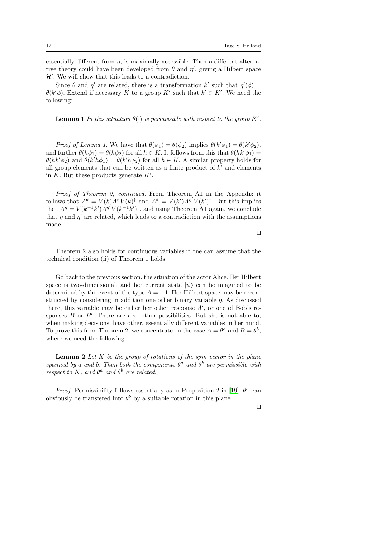essentially different from  $\eta$ , is maximally accessible. Then a different alternative theory could have been developed from  $\theta$  and  $\eta'$ , giving a Hilbert space  $\mathcal{H}^{\prime}$  . We will show that this leads to a contradiction.

Since  $\theta$  and  $\eta'$  are related, there is a transformation k' such that  $\eta'(\phi)$  =  $\theta(k'\phi)$ . Extend if necessary K to a group K' such that  $k' \in K'$ . We need the following:

**Lemma 1** In this situation  $\theta(\cdot)$  is permissible with respect to the group K'.

Proof of Lemma 1. We have that  $\theta(\phi_1) = \theta(\phi_2)$  implies  $\theta(k'\phi_1) = \theta(k'\phi_2)$ , and further  $\theta(h\phi_1) = \theta(h\phi_2)$  for all  $h \in K$ . It follows from this that  $\theta(hk'\phi_1) =$  $\theta(hk'\phi_2)$  and  $\theta(k'h\phi_1) = \theta(k'h\phi_2)$  for all  $h \in K$ . A similar property holds for all group elements that can be written as a finite product of  $k'$  and elements in  $K$ . But these products generate  $K'$ .

Proof of Theorem 2, continued. From Theorem A1 in the Appendix it follows that  $A^{\theta} = V(k)A^{\eta}V(k)^{\dagger}$  and  $A^{\theta} = V(k')A^{\eta'}V(k')^{\dagger}$ . But this implies that  $A^{\eta} = V(k^{-1}k')A^{\eta'}V(k^{-1}k')^{\dagger}$ , and using Theorem A1 again, we conclude that  $\eta$  and  $\eta'$  are related, which leads to a contradiction with the assumptions made.

⊓⊔

Theorem 2 also holds for continuous variables if one can assume that the technical condition (ii) of Theorem 1 holds.

Go back to the previous section, the situation of the actor Alice. Her Hilbert space is two-dimensional, and her current state  $|\psi\rangle$  can be imagined to be determined by the event of the type  $A = +1$ . Her Hilbert space may be reconstructed by considering in addition one other binary variable  $\eta$ . As discussed there, this variable may be either her other response  $A'$ , or one of Bob's responses  $B$  or  $B'$ . There are also other possibilities. But she is not able to, when making decisions, have other, essentially different variables in her mind. To prove this from Theorem 2, we concentrate on the case  $A = \theta^a$  and  $B = \theta^b$ , where we need the following:

**Lemma 2** Let  $K$  be the group of rotations of the spin vector in the plane spanned by a and b. Then both the components  $\theta^a$  and  $\theta^b$  are permissible with respect to K, and  $\theta^a$  and  $\theta^b$  are related.

*Proof.* Permissibility follows essentially as in Proposition 2 in [\[19\]](#page-17-14).  $\theta^a$  can obviously be transferred into  $\theta^b$  by a suitable rotation in this plane.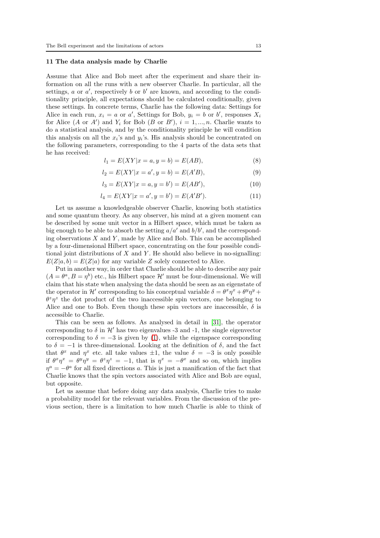#### <span id="page-12-0"></span>11 The data analysis made by Charlie

Assume that Alice and Bob meet after the experiment and share their information on all the runs with a new observer Charlie. In particular, all the settings,  $a$  or  $a'$ , respectively  $b$  or  $b'$  are known, and according to the conditionality principle, all expectations should be calculated conditionally, given these settings. In concrete terms, Charlie has the following data: Settings for Alice in each run,  $x_i = a$  or a', Settings for Bob,  $y_i = b$  or b', responses  $X_i$ for Alice  $(A \text{ or } A')$  and  $Y_i$  for Bob  $(B \text{ or } B')$ ,  $i = 1, ..., n$ . Charlie wants to do a statistical analysis, and by the conditionality principle he will condition this analysis on all the  $x_i$ 's and  $y_i$ 's. His analysis should be concentrated on the following parameters, corresponding to the 4 parts of the data sets that he has received:

$$
l_1 = E(XY|x = a, y = b) = E(AB),
$$
\n(8)

$$
l_2 = E(XY|x = a', y = b) = E(A'B),
$$
\n(9)

$$
l_3 = E(XY|x = a, y = b') = E(AB'),
$$
\n(10)

$$
l_4 = E(XY|x = a', y = b') = E(A'B').
$$
\n(11)

Let us assume a knowledgeable observer Charlie, knowing both statistics and some quantum theory. As any observer, his mind at a given moment can be described by some unit vector in a Hilbert space, which must be taken as big enough to be able to absorb the setting  $a/a'$  and  $b/b'$ , and the corresponding observations  $X$  and  $Y$ , made by Alice and Bob. This can be accomplished by a four-dimensional Hilbert space, concentrating on the four possible conditional joint distributions of  $X$  and  $Y$ . He should also believe in no-signalling:  $E(Z|a, b) = E(Z|a)$  for any variable Z solely connected to Alice.

Put in another way, in order that Charlie should be able to describe any pair  $(A = \theta^a, B = \eta^b)$  etc., his Hilbert space  $\mathcal{H}'$  must be four-dimensional. We will claim that his state when analysing the data should be seen as an eigenstate of the operator in  $\mathcal{H}'$  corresponding to his conceptual variable  $\delta = \theta^x \eta^x + \theta^y \eta^y +$  $\theta^z \eta^z$  the dot product of the two inaccessible spin vectors, one belonging to Alice and one to Bob. Even though these spin vectors are inaccessible,  $\delta$  is accessible to Charlie.

This can be seen as follows. As analysed in detail in [\[31\]](#page-17-23), the operator corresponding to  $\delta$  in  $\mathcal{H}'$  has two eigenvalues -3 and -1, the single eigenvector corresponding to  $\delta = -3$  is given by [\(1\)](#page-1-0), while the eigenspace corresponding to  $\delta = -1$  is three-dimensional. Looking at the definition of  $\delta$ , and the fact that  $\theta^x$  and  $\eta^x$  etc. all take values  $\pm 1$ , the value  $\delta = -3$  is only possible if  $\theta^x \eta^x = \theta^y \eta^y = \theta^z \eta^z = -1$ , that is  $\eta^x = -\theta^x$  and so on, which implies  $\eta^a = -\theta^a$  for all fixed directions a. This is just a manification of the fact that Charlie knows that the spin vectors associated with Alice and Bob are equal, but opposite.

Let us assume that before doing any data analysis, Charlie tries to make a probability model for the relevant variables. From the discussion of the previous section, there is a limitation to how much Charlie is able to think of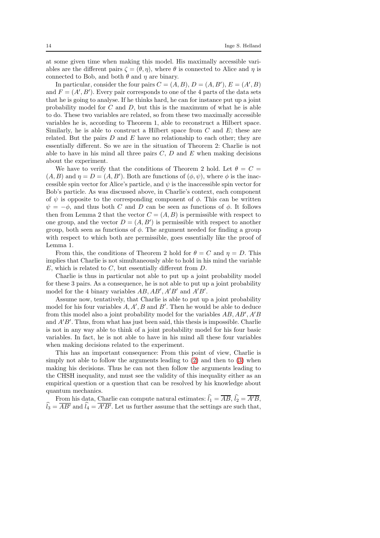at some given time when making this model. His maximally accessible variables are the different pairs  $\zeta = (\theta, \eta)$ , where  $\theta$  is connected to Alice and  $\eta$  is connected to Bob, and both  $\theta$  and  $\eta$  are binary.

In particular, consider the four pairs  $C = (A, B), D = (A, B'), E = (A', B)$ and  $F = (A', B')$ . Every pair corresponds to one of the 4 parts of the data sets that he is going to analyse. If he thinks hard, he can for instance put up a joint probability model for  $C$  and  $D$ , but this is the maximum of what he is able to do. These two variables are related, so from these two maximally accessible variables he is, according to Theorem 1, able to reconstruct a Hilbert space. Similarly, he is able to construct a Hilbert space from  $C$  and  $E$ ; these are related. But the pairs  $D$  and  $E$  have no relationship to each other; they are essentially different. So we are in the situation of Theorem 2: Charlie is not able to have in his mind all three pairs  $C, D$  and  $E$  when making decisions about the experiment.

We have to verify that the conditions of Theorem 2 hold. Let  $\theta = C$  $(A, B)$  and  $\eta = D = (A, B')$ . Both are functions of  $(\phi, \psi)$ , where  $\phi$  is the inaccessible spin vector for Alice's particle, and  $\psi$  is the inaccessible spin vector for Bob's particle. As was discussed above, in Charlie's context, each component of  $\psi$  is opposite to the corresponding component of  $\phi$ . This can be written  $\psi = -\phi$ , and thus both C and D can be seen as functions of  $\phi$ . It follows then from Lemma 2 that the vector  $C = (A, B)$  is permissible with respect to one group, and the vector  $D = (A, B')$  is permissible with respect to another group, both seen as functions of  $\phi$ . The argument needed for finding a group with respect to which both are permissible, goes essentially like the proof of Lemma 1.

From this, the conditions of Theorem 2 hold for  $\theta = C$  and  $\eta = D$ . This implies that Charlie is not simultaneously able to hold in his mind the variable  $E$ , which is related to  $C$ , but essentially different from  $D$ .

Charlie is thus in particular not able to put up a joint probability model for these 3 pairs. As a consequence, he is not able to put up a joint probability model for the 4 binary variables  $AB, AB', A'B'$  and  $A'B'$ .

Assume now, tentatively, that Charlie is able to put up a joint probability model for his four variables  $A, A', B$  and  $B'$ . Then he would be able to deduce from this model also a joint probability model for the variables  $AB, AB', A'B$ and A′B′ . Thus, from what has just been said, this thesis is impossible. Charlie is not in any way able to think of a joint probability model for his four basic variables. In fact, he is not able to have in his mind all these four variables when making decisions related to the experiment.

This has an important consequence: From this point of view, Charlie is simply not able to follow the arguments leading to  $(2)$  and then to  $(3)$  when making his decisions. Thus he can not then follow the arguments leading to the CHSH inequality, and must see the validity of this inequality either as an empirical question or a question that can be resolved by his knowledge about quantum mechanics.

From his data, Charlie can compute natural estimates:  $\hat{l}_1 = \overline{AB}$ ,  $\hat{l}_2 = \overline{A'B}$ ,  $l_3 = \overline{AB'}$  and  $l_4 = \overline{A'B'}$ . Let us further assume that the settings are such that,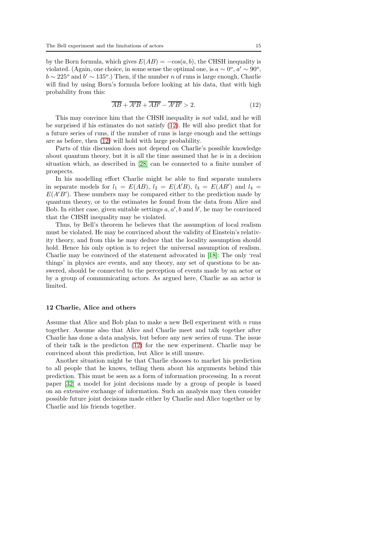by the Born formula, which gives  $E(AB) = -\cos(a, b)$ , the CHSH inequality is violated. (Again, one choice, in some sense the optimal one, is  $a \sim 0^{\circ}$ ,  $a' \sim 90^{\circ}$ ,  $b \sim 225^{\circ}$  and  $b' \sim 135^{\circ}$ .) Then, if the number *n* of runs is large enough, Charlie will find by using Born's formula before looking at his data, that with high probability from this:

<span id="page-14-0"></span>
$$
\overline{AB} + \overline{A'B} + \overline{AB'} - \overline{A'B'} > 2. \tag{12}
$$

This may convince him that the CHSH inequality is not valid, and he will be surprised if his estimates do not satisfy [\(12\)](#page-14-0). He will also predict that for a future series of runs, if the number of runs is large enough and the settings are as before, then [\(12\)](#page-14-0) will hold with large probability.

Parts of this discussion does not depend on Charlie's possible knowledge about quantum theory, but it is all the time assumed that he is in a decision situation which, as described in [\[28\]](#page-17-21) can be connected to a finite number of prospects.

In his modelling effort Charlie might be able to find separate numbers in separate models for  $l_1 = E(AB)$ ,  $l_2 = E(A'B)$ ,  $l_3 = E(AB')$  and  $l_4 =$  $E(A'B')$ . These numbers may be compared either to the prediction made by quantum theory, or to the estimates he found from the data from Alice and Bob. In either case, given suitable settings  $a, a', b$  and  $b'$ , he may be convinced that the CHSH inequality may be violated.

Thus, by Bell's theorem he believes that the assumption of local realism must be violated. He may be convinced about the validity of Einstein's relativity theory, and from this he may deduce that the locality assumption should hold. Hence his only option is to reject the universal assumption of realism. Charlie may be convinced of the statement advocated in [\[18\]](#page-17-13): The only 'real things' in physics are events, and any theory, any set of questions to be answered, should be connected to the perception of events made by an actor or by a group of communicating actors. As argued here, Charlie as an actor is limited.

#### <span id="page-14-1"></span>12 Charlie, Alice and others

Assume that Alice and Bob plan to make a new Bell experiment with  $n$  runs together. Assume also that Alice and Charlie meet and talk together after Charlie has done a data analysis, but before any new series of runs. The issue of their talk is the predicton [\(12\)](#page-14-0) for the new experiment. Charlie may be convinced about this prediction, but Alice is still unsure.

Another situation might be that Charlie chooses to market his prediction to all people that he knows, telling them about his arguments behind this prediction. This must be seen as a form of information processing. In a recent paper [\[32\]](#page-17-24) a model for joint decisions made by a group of people is based on an extensive exchange of information. Such an analysis may then consider possible future joint decisions made either by Charlie and Alice together or by Charlie and his friends together.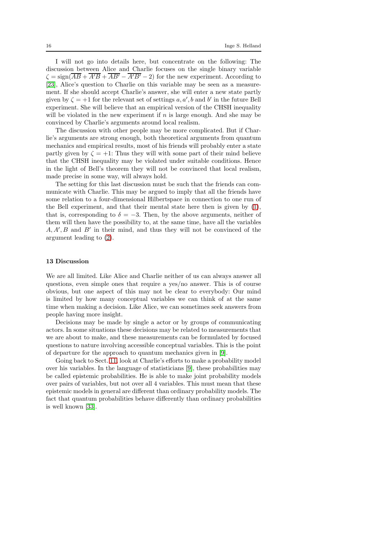I will not go into details here, but concentrate on the following: The discussion between Alice and Charlie focuses on the single binary variable  $\zeta = \text{sign}(\overline{AB} + \overline{A'B} + \overline{AB'} - \overline{A'B'} - 2)$  for the new experiment. According to [\[23\]](#page-17-17), Alice's question to Charlie on this variable may be seen as a measurement. If she should accept Charlie's answer, she will enter a new state partly given by  $\zeta = +1$  for the relevant set of settings a, a', b and b' in the future Bell experiment. She will believe that an empirical version of the CHSH inequality will be violated in the new experiment if  $n$  is large enough. And she may be convinced by Charlie's arguments around local realism.

The discussion with other people may be more complicated. But if Charlie's arguments are strong enough, both theoretical arguments from quantum mechanics and empirical results, most of his friends will probably enter a state partly given by  $\zeta = +1$ : Thus they will with some part of their mind believe that the CHSH inequality may be violated under suitable conditions. Hence in the light of Bell's theorem they will not be convinced that local realism, made precise in some way, will always hold.

The setting for this last discussion must be such that the friends can communicate with Charlie. This may be argued to imply that all the friends have some relation to a four-dimensional Hilbertspace in connection to one run of the Bell experiment, and that their mental state here then is given by [\(1\)](#page-1-0), that is, corresponding to  $\delta = -3$ . Then, by the above arguments, neither of them will then have the possibility to, at the same time, have all the variables  $A, A', B$  and  $B'$  in their mind, and thus they will not be convinced of the argument leading to [\(2\)](#page-2-0).

#### <span id="page-15-0"></span>13 Discussion

We are all limited. Like Alice and Charlie neither of us can always answer all questions, even simple ones that require a yes/no answer. This is of course obvious, but one aspect of this may not be clear to everybody: Our mind is limited by how many conceptual variables we can think of at the same time when making a decision. Like Alice, we can sometimes seek answers from people having more insight.

Decisions may be made by single a actor or by groups of communicating actors. In some situations these decisions may be related to measurements that we are about to make, and these measurements can be formulated by focused questions to nature involving accessible conceptual variables. This is the point of departure for the approach to quantum mechanics given in [\[9\]](#page-17-4).

Going back to Sect. [11,](#page-12-0) look at Charlie's efforts to make a probability model over his variables. In the language of statisticians [\[9\]](#page-17-4), these probabilities may be called epistemic probabilities. He is able to make joint probability models over pairs of variables, but not over all 4 variables. This must mean that these epistemic models in general are different than ordinary probability models. The fact that quantum probabilities behave differently than ordinary probabilities is well known [\[33\]](#page-17-25).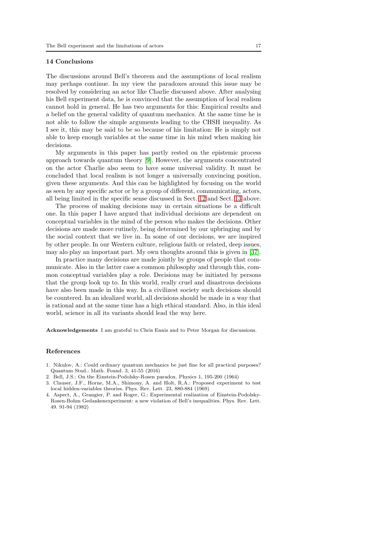#### 14 Conclusions

The discussions around Bell's theorem and the assumptions of local realism may perhaps continue. In my view the paradoxes around this issue may be resolved by considering an actor like Charlie discussed above. After analysing his Bell experiment data, he is convinced that the assumption of local realism cannot hold in general. He has two arguments for this: Empirical results and a belief on the general validity of quantum mechanics. At the same time he is not able to follow the simple arguments leading to the CHSH inequality. As I see it, this may be said to be so because of his limitation: He is simply not able to keep enough variables at the same time in his mind when making his decisions.

My arguments in this paper has partly rested on the epistemic process approach towards quantum theory [\[9\]](#page-17-4). However, the arguments concentrated on the actor Charlie also seem to have some universal validity. It must be concluded that local realism is not longer a universally convincing position, given these arguments. And this can be highlighted by focusing on the world as seen by any specific actor or by a group of different, communicating, actors, all being limited in the specific sense discussed in Sect. [12](#page-14-1) and Sect. [13](#page-15-0) above.

The process of making decisions may in certain situations be a difficult one. In this paper I have argued that individual decisions are dependent on conceptual variables in the mind of the person who makes the decisions. Other decisions are made more rutinely, being determined by our upbringing and by the social context that we live in. In some of our decisions, we are inspired by other people. In our Western culture, religious faith or related, deep issues, may alo play an important part. My own thoughts around this is given in [\[37\]](#page-18-1).

In practice many decisions are made jointly by groups of people that communicate. Also in the latter case a common philosophy and through this, common conceptual variables play a role. Decisions may be initiated by persons that the group look up to. In this world, really cruel and disastrous decisions have also been made in this way. In a civilizest society such decisions should be countered. In an idealized world, all decisions should be made in a way that is rational and at the same time has a high ethical standard. Also, in this ideal world, science in all its variants should lead the way here.

Acknowledgements I am grateful to Chris Ennis and to Peter Morgan for discussions.

#### References

- <span id="page-16-0"></span>1. Nikulov, A.: Could ordinary quantum mechanics be just fine for all practical purposes? Quantum Stud.: Math. Found. 3, 41-55 (2016)
- <span id="page-16-2"></span><span id="page-16-1"></span>2. Bell, J.S.: On the Einstein-Podolsky-Rosen paradox. Physics 1, 195-200 (1964)
- 3. Clauser, J.F., Horne, M.A., Shimony, A. and Holt, R.A.: Proposed experiment to test local hidden-variables theories. Phys. Rev. Lett. 23, 880-884 (1969)
- <span id="page-16-3"></span>4. Aspect, A., Grangier, P. and Roger, G.: Experimental realization of Einstein-Podolsky-Rosen-Bohm Gedankenexperiment: a new violation of Bell's inequalities. Phys. Rev. Lett. 49. 91-94 (1982)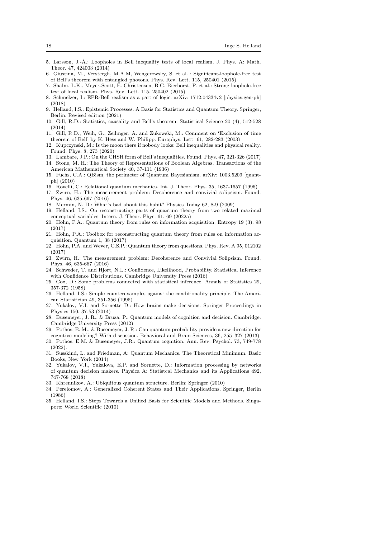- <span id="page-17-0"></span>5. Larsson, J.-Å.: Loopholes in Bell inequality tests of local realism. J. Phys. A: Math. Theor. 47, 424003 (2014)
- <span id="page-17-1"></span>6. Giustina, M., Versteegh, M.A.M, Wengerowsky, S. et al. : Significant-loophole-free test of Bell's theorem with entangled photons. Phys. Rev. Lett. 115, 250401 (2015)
- <span id="page-17-2"></span>7. Shalm, L.K., Meyer-Scott, E. Christensen, B.G. Bierhorst, P. et al.: Strong loophole-free test of local realism. Phys. Rev. Lett. 115, 250402 (2015)
- <span id="page-17-3"></span>8. Schmelzer, I.: EPR-Bell realism as a part of logic. arXiv: 1712.04334v2 [physics.gen-ph] (2018)
- <span id="page-17-4"></span>9. Helland, I.S.: Epistemic Processes. A Basis for Statistics and Quantum Theory. Springer, Berlin. Revised edition (2021)
- <span id="page-17-5"></span>10. Gill, R.D.: Statistics, causality and Bell's theorem. Statistical Science 20 (4), 512-528 (2014)
- <span id="page-17-6"></span>11. Gill, R.D., Weih, G., Zeilinger, A. and Zukowski, M.: Comment on 'Exclusion of time theorem of Bell' by K. Hess and W. Philipp. Europhys. Lett. 61, 282-283 (2003)
- <span id="page-17-7"></span>12. Kupczynski, M.: Is the moon there if nobody looks: Bell inequalities and physical reality. Found. Phys. 8, 273 (2020)
- <span id="page-17-9"></span><span id="page-17-8"></span>13. Lambare, J.P.: On the CHSH form of Bell's inequalities. Found. Phys. 47, 321-326 (2017)
- 14. Stone, M. H.: The Theory of Representations of Boolean Algebras. Transactions of the American Mathematical Society 40, 37-111 (1936)
- <span id="page-17-10"></span>15. Fuchs, C.A.: QBism, the perimeter of Quantum Bayesianism. arXiv: 1003.5209 [quantph] (2010)
- <span id="page-17-12"></span><span id="page-17-11"></span>16. Rovelli, C.: Relational quantum mechanics. Int. J, Theor. Phys. 35, 1637-1657 (1996)
- 17. Zwirn, H.: The measurement problem: Decoherence and convivial solipsism. Found. Phys. 46, 635-667 (2016)
- <span id="page-17-14"></span><span id="page-17-13"></span>18. Mermin, N. D.: What's bad about this habit? Physics Today 62, 8-9 (2009)
- 19. Helland, I.S.: On reconstructing parts of quantum theory from two related maximal conceptual variables. Intern. J. Theor. Phys. 61, 69 (2022a)
- <span id="page-17-15"></span>20. Höhn, P.A.: Quantum theory from rules on information acquisition. Entropy 19 (3). 98 (2017)
- 21. Höhn, P.A.: Toolbox for reconstructing quantum theory from rules on information acquisition. Quantum 1, 38 (2017)
- <span id="page-17-16"></span>22. Höhn, P.A. and Wever, C.S.P.: Quantum theory from questions. Phys. Rev. A 95, 012102 (2017)
- <span id="page-17-17"></span>23. Zwirn, H.: The measurement problem: Decoherence and Convivial Solipsism. Found. Phys. 46, 635-667 (2016)
- 24. Schweder, T. and Hjort, N.L.: Confidence, Likelihood, Probability. Statistical Inference with Confidence Distributions. Cambridge University Press (2016)
- <span id="page-17-18"></span>25. Cox, D.: Some problems connected with statistical inference. Annals of Statistics 29, 357-372 (1958)
- <span id="page-17-19"></span>26. Helland, I.S.: Simple counterexamples against the conditionality principle. The American Statistician 49, 351-356 (1995)
- <span id="page-17-20"></span>27. Yukalov, V.I. and Sornette D.: How brains make decisions. Springer Proceedings in Physics 150, 37-53 (2014)
- <span id="page-17-21"></span>28. Busemeyer, J. R., & Bruza, P.: Quantum models of cognition and decision. Cambridge: Cambridge University Press (2012)
- <span id="page-17-22"></span>29. Pothos, E. M., & Busemeyer, J. R.: Can quantum probability provide a new direction for cognitive modeling? With discussion. Behavioral and Brain Sciences, 36, 255–327 (2013)
- 30. Pothos, E.M. & Busemeyer, J.R.: Quantum cognition. Ann. Rev. Psychol. 73, 749-778  $(2022)$
- <span id="page-17-23"></span>31. Susskind, L. and Friedman, A: Quantum Mechanics. The Theoretical Minimum. Basic Books, New York (2014)
- <span id="page-17-24"></span>32. Yukalov, V.I., Yukalova, E.P. and Sornette, D.: Information processing by networks of quantum decision makers. Physica A: Statistcal Mechanics and its Applications 492, 747-768 (2018)
- <span id="page-17-26"></span><span id="page-17-25"></span>33. Khrennikov, A.: Ubiquitous quantum structure. Berlin: Springer (2010)
- 34. Perelomov, A.: Generalized Coherent States and Their Applications. Springer, Berlin (1986)
- <span id="page-17-27"></span>35. Helland, I.S.: Steps Towards a Unified Basis for Scientific Models and Methods. Singapore: World Scientific (2010)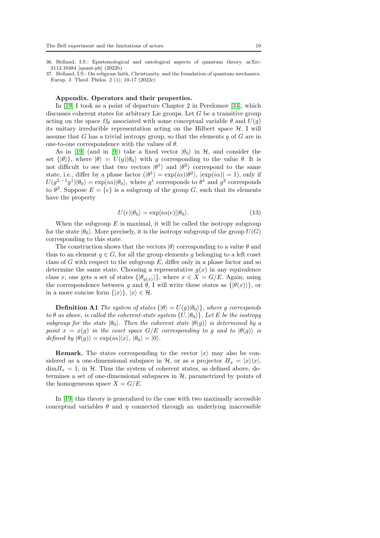<span id="page-18-0"></span>36. Helland, I.S.: Epistemological and ontological aspects of quantum theory. arXiv: 2112.10484 [quant-ph] (2022b)

<span id="page-18-1"></span>37. Helland, I.S.: On religious faith, Christianity, and the foundation of quantum mechanics. Europ. J. Theol. Philos. 2 (1), 10-17 (2022c)

#### Appendix. Operators and their properties.

In [\[19\]](#page-17-14) I took as a point of departure Chapter 2 in Perelomov [\[34\]](#page-17-26), which discusses coherent states for arbitrary Lie groups. Let  $G$  be a transitive group acting on the space  $\Omega_{\theta}$  associated with some conceptual variable  $\theta$  and  $U(q)$ its unitary irreducible representation acting on the Hilbert space  $H$ . I will assume that  $G$  has a trivial isotropy group, so that the elements  $g$  of  $G$  are in one-to-one correspondence with the values of  $\theta$ .

As in [\[19\]](#page-17-14) (and in [\[9\]](#page-17-4)) take a fixed vector  $|\theta_0\rangle$  in H, and consider the set  $\{|\theta\rangle\}$ , where  $|\theta\rangle = U(q)|\theta_0\rangle$  with g corresponding to the value  $\theta$ . It is not difficult to see that two vectors  $|\theta^1\rangle$  and  $|\theta^2\rangle$  correspond to the same state, i.e., differ by a phase factor  $(|\theta^1\rangle = \exp(i\alpha)|\theta^2\rangle$ ,  $|\exp(i\alpha)| = 1$ , only if  $U(g^{2,-1}g^1)|\theta_0\rangle = \exp(i\alpha)|\theta_0\rangle$ , where  $g^1$  corresponds to  $\theta^1$  and  $g^2$  corresponds to  $\theta^2$ . Suppose  $E = \{e\}$  is a subgroup of the group G, such that its elements have the property

<span id="page-18-2"></span>
$$
U(e)|\theta_0\rangle = \exp[i\alpha(e)]|\theta_0\rangle. \tag{13}
$$

When the subgroup  $E$  is maximal, it will be called the isotropy subgroup for the state  $|\theta_0\rangle$ . More precisely, it is the isotropy subgroup of the group  $U(G)$ corresponding to this state.

The construction shows that the vectors  $|\theta\rangle$  corresponding to a value  $\theta$  and thus to an element  $q \in G$ , for all the group elements q belonging to a left coset class of  $G$  with respect to the subgroup  $E$ , differ only in a phase factor and so determine the same state. Choosing a representative  $g(x)$  in any equivalence class x, one gets a set of states  $\{|\theta_{g(x)}\rangle\}$ , where  $x \in X = G/E$ . Again, using the correspondence between g and  $\theta$ , I will write these states as  $\{|\theta(x)\rangle\}$ , or in a more concise form  $\{|x\rangle\}, |x\rangle \in \mathcal{H}$ .

**Definition A1** The system of states  $\{|\theta\rangle = U(g)|\theta_0\rangle\}$ , where g corresponds to  $\theta$  as above, is called the coherent-state system  $\{U, |\theta_0\rangle\}$ . Let E be the isotropy subgroup for the state  $|\theta_0\rangle$ . Then the coherent state  $|\theta(q)\rangle$  is determined by a point  $x = x(g)$  in the coset space  $G/E$  corresponding to g and to  $|\theta(g)\rangle$  is defined by  $|\theta(g)\rangle = \exp(i\alpha)|x\rangle, |\theta_0\rangle = |0\rangle.$ 

**Remark.** The states corresponding to the vector  $|x\rangle$  may also be considered as a one-dimensional subspace in H, or as a projector  $\Pi_x = |x\rangle\langle x|$ ,  $\dim\mathcal{H}_x=1$ , in H. Thus the system of coherent states, as defined above, determines a set of one-dimensional subspaces in  $H$ , parametrized by points of the homogeneous space  $X = G/E$ .

In [\[19\]](#page-17-14) this theory is generalized to the case with two maximally accessible conceptual variables  $\theta$  and  $\eta$  connected through an underlying inaccessible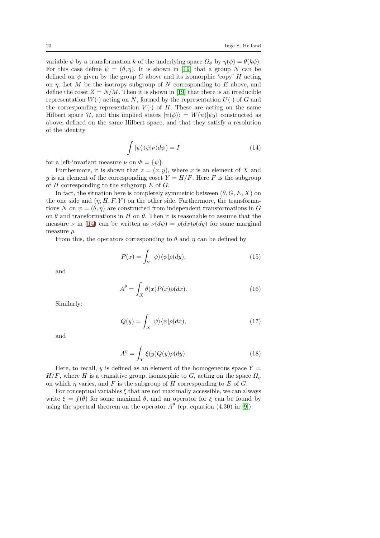variable  $\phi$  by a transformation k of the underlying space  $\Omega_{\phi}$  by  $\eta(\phi) = \theta(k\phi)$ . For this case define  $\psi = (\theta, \eta)$ . It is shown in [\[19\]](#page-17-14) that a group N can be defined on  $\psi$  given by the group G above and its isomorphic 'copy' H acting on  $\eta$ . Let M be the isotropy subgroup of N corresponding to E above, and define the coset  $Z = N/M$ . Then it is shown in [\[19\]](#page-17-14) that there is an irreducible representation  $W(\cdot)$  acting on N, formed by the representation  $U(\cdot)$  of G and the corresponding representation  $V(\cdot)$  of H. These are acting on the same Hilbert space H, and this implied states  $|\psi(\phi)\rangle = W(n)|\psi_0\rangle$  constructed as above, defined on the same Hilbert space, and that they satisfy a resolution of the identity

<span id="page-19-0"></span>
$$
\int |\psi\rangle\langle\psi|\nu(d\psi) = I \tag{14}
$$

for a left-invariant measure  $\nu$  on  $\Psi = {\psi}.$ 

Furthermore, it is shown that  $z = (x, y)$ , where x is an element of X and y is an element of the corresponding coset  $Y = H/F$ . Here F is the subgroup of  $H$  corresponding to the subgroup  $E$  of  $G$ .

In fact, the situation here is completely symmetric between  $(\theta, G, E, X)$  on the one side and  $(\eta, H, F, Y)$  on the other side. Furthermore, the transformations N on  $\psi = (\theta, \eta)$  are constructed from independent transformations in G on  $\theta$  and transformations in H on  $\theta$ . Then it is reasonable to assume that the measure  $\nu$  in [\(14\)](#page-19-0) can be written as  $\nu(d\psi) = \rho(dx)\rho(dy)$  for some marginal measure  $\rho$ .

From this, the operators corresponding to  $\theta$  and  $\eta$  can be defined by

$$
P(x) = \int_{Y} |\psi\rangle\langle\psi|\rho(dy), \qquad (15)
$$

and

<span id="page-19-1"></span>
$$
A^{\theta} = \int_{X} \theta(x) P(x) \rho(dx).
$$
 (16)

Similarly:

$$
Q(y) = \int_X |\psi\rangle\langle\psi|\rho(dx),\tag{17}
$$

and

$$
A^{\eta} = \int_{Y} \xi(y)Q(y)\rho(dy). \tag{18}
$$

Here, to recall, y is defined as an element of the homogeneous space  $Y =$  $H/F$ , where H is a transitive group, isomorphic to G, acting on the space  $\Omega_n$ on which  $\eta$  varies, and F is the subgroup of H corresponding to E of G.

For conceptual variables  $\xi$  that are not maximally accessible, we can always write  $\xi = f(\theta)$  for some maximal  $\theta$ , and an operator for  $\xi$  can be found by using the spectral theorem on the operator  $A^{\theta}$  (cp. equation (4.30) in [\[9\]](#page-17-4)).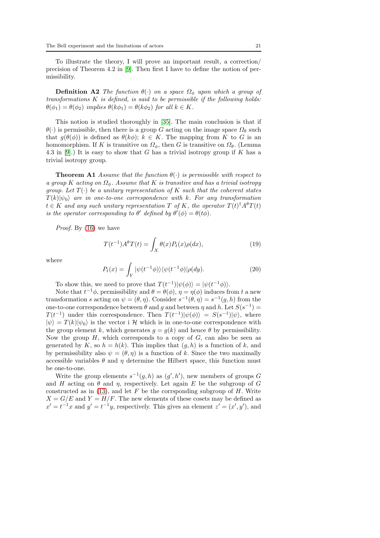To illustrate the theory, I will prove an important result, a correction/ precision of Theorem 4.2 in [\[9\]](#page-17-4). Then first I have to define the notion of permissibility.

**Definition A2** The function  $\theta(\cdot)$  on a space  $\Omega_{\phi}$  upon which a group of  $transformations K is defined, is said to be permissible if the following holds:$  $\theta(\phi_1) = \theta(\phi_2)$  implies  $\theta(k\phi_1) = \theta(k\phi_2)$  for all  $k \in K$ .

This notion is studied thoroughly in [\[35\]](#page-17-27). The main conclusion is that if  $\theta(\cdot)$  is permissible, then there is a group G acting on the image space  $\Omega_{\theta}$  such that  $g(\theta(\phi))$  is defined as  $\theta(k\phi)$ ;  $k \in K$ . The mapping from K to G is an homomorphism. If K is transitive on  $\Omega_{\phi}$ , then G is transitive on  $\Omega_{\theta}$ . (Lemma 4.3 in [\[9\]](#page-17-4).) It is easy to show that G has a trivial isotropy group if K has a trivial isotropy group.

**Theorem A1** Assume that the function  $\theta(\cdot)$  is permissible with respect to a group K acting on  $\Omega_{\phi}$ . Assume that K is transitive and has a trivial isotropy group. Let  $T(\cdot)$  be a unitary representation of K such that the coherent states  $T(k)|\psi_0\rangle$  are in one-to-one correspondence with k. For any transformation  $t \in K$  and any such unitary representation  $T$  of  $K$ , the operator  $T(t)^\dagger A^\theta T(t)$ is the operator corresponding to  $\theta'$  defined by  $\theta'(\phi) = \theta(t\phi)$ .

Proof. By  $(16)$  we have

<span id="page-20-0"></span>
$$
T(t^{-1})A^{\theta}T(t) = \int_X \theta(x)P_t(x)\rho(dx),\tag{19}
$$

where

<span id="page-20-1"></span>
$$
P_t(x) = \int_Y |\psi(t^{-1}\phi)\rangle\langle\psi(t^{-1}\phi)|\rho(dy). \tag{20}
$$

To show this, we need to prove that  $T(t^{-1})|\psi(\phi)\rangle = |\psi(t^{-1}\phi)\rangle$ .

Note that  $t^{-1}\phi$ , permissibility and  $\theta = \theta(\phi)$ ,  $\eta = \eta(\phi)$  induces from t a new transformation s acting on  $\psi = (\theta, \eta)$ . Consider  $s^{-1}(\theta, \eta) = s^{-1}(g, h)$  from the one-to-one correspondence between  $\theta$  and  $g$  and between  $\eta$  and  $h$ . Let  $S(s^{-1}) =$  $T(t^{-1})$  under this correspondence. Then  $T(t^{-1})|\psi(\phi)\rangle = S(s^{-1})|\psi\rangle$ , where  $|\psi\rangle = T(k)|\psi_0\rangle$  is the vector i H which is in one-to-one correspondence with the group element k, which generates  $q = q(k)$  and hence  $\theta$  by permissibility. Now the group  $H$ , which corresponds to a copy of  $G$ , can also be seen as generated by K, so  $h = h(k)$ . This implies that  $(q, h)$  is a function of k, and by permissibility also  $\psi = (\theta, \eta)$  is a function of k. Since the two maximally accessible variables  $\theta$  and  $\eta$  determine the Hilbert space, this function must be one-to-one.

Write the group elements  $s^{-1}(g,h)$  as  $(g',h')$ , new members of groups G and H acting on  $\theta$  and  $\eta$ , respectively. Let again E be the subgroup of G constructed as in  $(13)$ , and let F be the corrsponding subgroup of H. Write  $X = G/E$  and  $Y = H/F$ . The new elements of these cosets may be defined as  $x' = t^{-1}x$  and  $y' = t^{-1}y$ , respectively. This gives an element  $z' = (x', y')$ , and